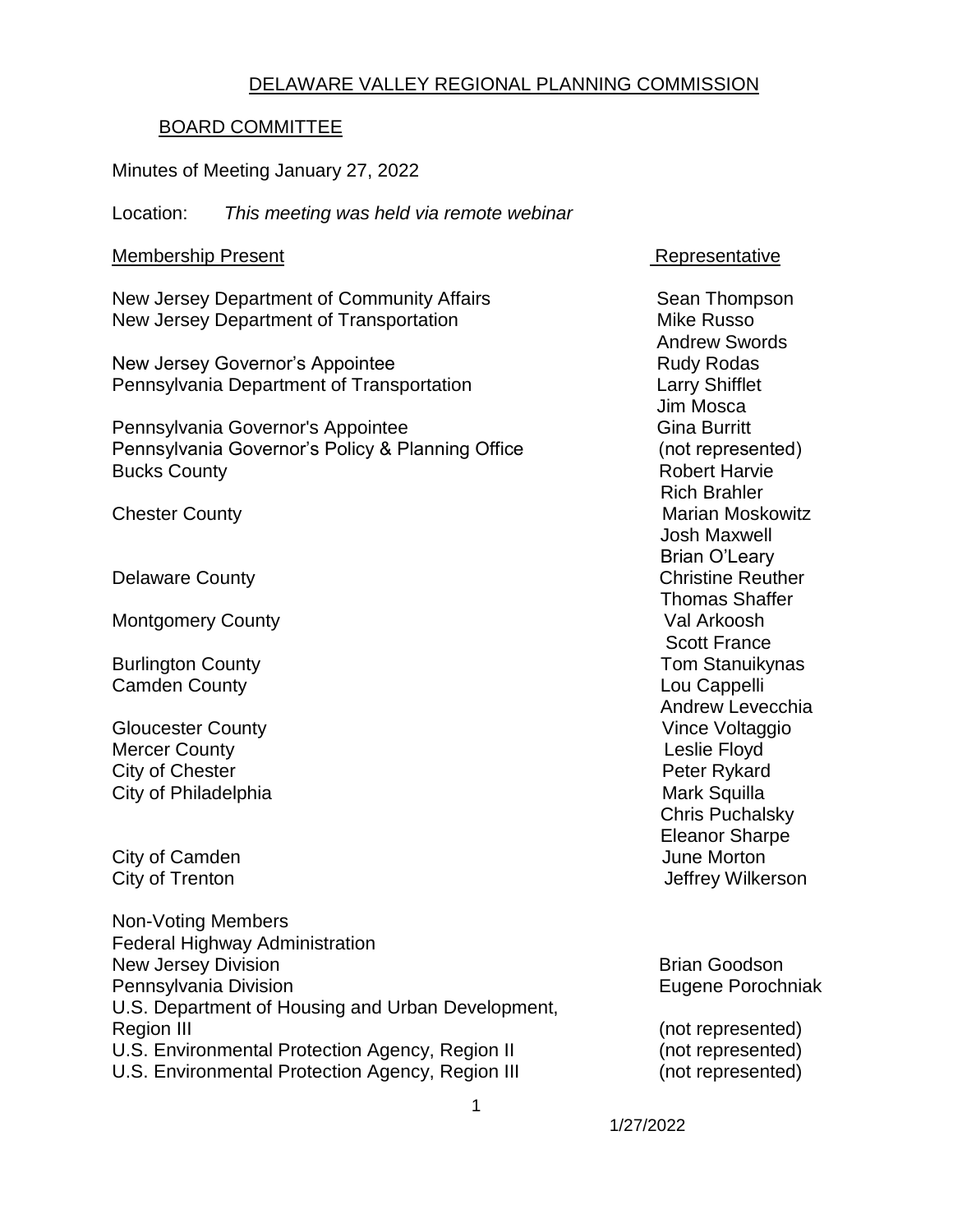#### DELAWARE VALLEY REGIONAL PLANNING COMMISSION

#### BOARD COMMITTEE

Minutes of Meeting January 27, 2022

Location: *This meeting was held via remote webinar*

#### Membership Present **Representative**

New Jersey Department of Community Affairs Sean Thompson New Jersey Department of Transportation Mike Russo

New Jersey Governor's Appointee **Rudy Rodas** Rudy Rodas Pennsylvania Department of Transportation Larry Shifflet

Pennsylvania Governor's Appointee Gina Burritt Gina Burritt Pennsylvania Governor's Policy & Planning Office (not represented) Bucks County **Bucks** County **Robert Harvie Robert Harvie** 

Montgomery County **Value Arkoosh** 

**Camden County** 

Gloucester County **County County County Vince Voltaggio** Mercer County **County Mercer County County Leslie Floyd** City of Chester **Peter Rykard** City of Philadelphia **Mark Squilla** Mark Squilla

City of Camden **June Morton** 

Non-Voting Members Federal Highway Administration New Jersey Division **Brian Goodson** Brian Goodson Pennsylvania Division **Eugene Porochniak** U.S. Department of Housing and Urban Development, Region III (not represented) U.S. Environmental Protection Agency, Region II (not represented) U.S. Environmental Protection Agency, Region III (not represented)

 Andrew Swords Jim Mosca Rich Brahler Chester County **Marian Moskowitz** Chester County **Marian Moskowitz**  Josh Maxwell Brian O'Leary Delaware County **Christian County** Christian Christian Christian Christian Christian Christian Christian Christian Christian Christian Christian Christian Christian Christian Christian Christian Christian Christian Christi Thomas Shaffer Scott France Burlington County<br>
Camden County<br>
Camden County Andrew Levecchia Chris Puchalsky Eleanor Sharpe City of Trenton **City of Trenton** Jeffrey Wilkerson

1/27/2022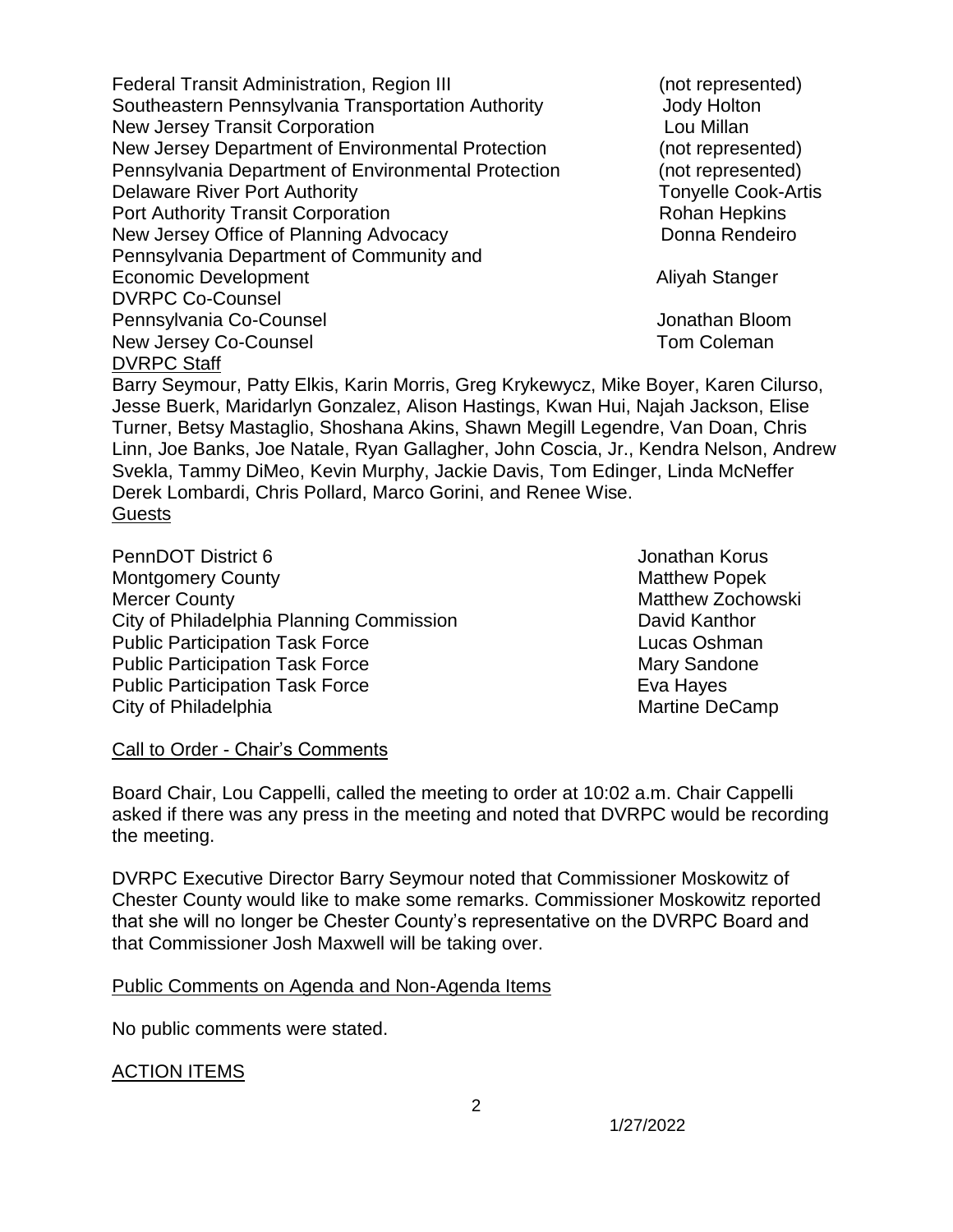Federal Transit Administration, Region III (not represented) Southeastern Pennsylvania Transportation Authority **Southeastern Pennsylvania Transportation** Authority New Jersey Transit Corporation **Louis Communisty** Lou Millan New Jersey Department of Environmental Protection (not represented) Pennsylvania Department of Environmental Protection (not represented) Delaware River Port Authority **Tonyelle Cook-Artis Tonyelle Cook-Artis** Port Authority Transit Corporation **Rohan Hepkins** Rohan Hepkins New Jersey Office of Planning Advocacy **Donna Rendeiro** Donna Rendeiro Pennsylvania Department of Community and Economic Development **Aliyah Stanger** Aliyah Stanger DVRPC Co-Counsel Pennsylvania Co-Counsel Jonathan Bloom New Jersey Co-Counsel **New Jersey Co-Counsel** DVRPC Staff

Barry Seymour, Patty Elkis, Karin Morris, Greg Krykewycz, Mike Boyer, Karen Cilurso, Jesse Buerk, Maridarlyn Gonzalez, Alison Hastings, Kwan Hui, Najah Jackson, Elise Turner, Betsy Mastaglio, Shoshana Akins, Shawn Megill Legendre, Van Doan, Chris Linn, Joe Banks, Joe Natale, Ryan Gallagher, John Coscia, Jr., Kendra Nelson, Andrew Svekla, Tammy DiMeo, Kevin Murphy, Jackie Davis, Tom Edinger, Linda McNeffer Derek Lombardi, Chris Pollard, Marco Gorini, and Renee Wise. Guests

PennDOT District 6 **Jonathan Korus Jonathan Korus** Montgomery County **Montgomery County Montgomery County Matthew Popek** Mercer County **Matthew Zochowski** City of Philadelphia Planning Commission David Kanthor Public Participation Task Force Lucas Oshman Public Participation Task Force Mary Sandone Public Participation Task Force **Eva Hayes** Eva Hayes City of Philadelphia **Martine DeCamp** Martine DeCamp

#### Call to Order - Chair's Comments

Board Chair, Lou Cappelli, called the meeting to order at 10:02 a.m. Chair Cappelli asked if there was any press in the meeting and noted that DVRPC would be recording the meeting.

DVRPC Executive Director Barry Seymour noted that Commissioner Moskowitz of Chester County would like to make some remarks. Commissioner Moskowitz reported that she will no longer be Chester County's representative on the DVRPC Board and that Commissioner Josh Maxwell will be taking over.

#### Public Comments on Agenda and Non-Agenda Items

No public comments were stated.

#### ACTION ITEMS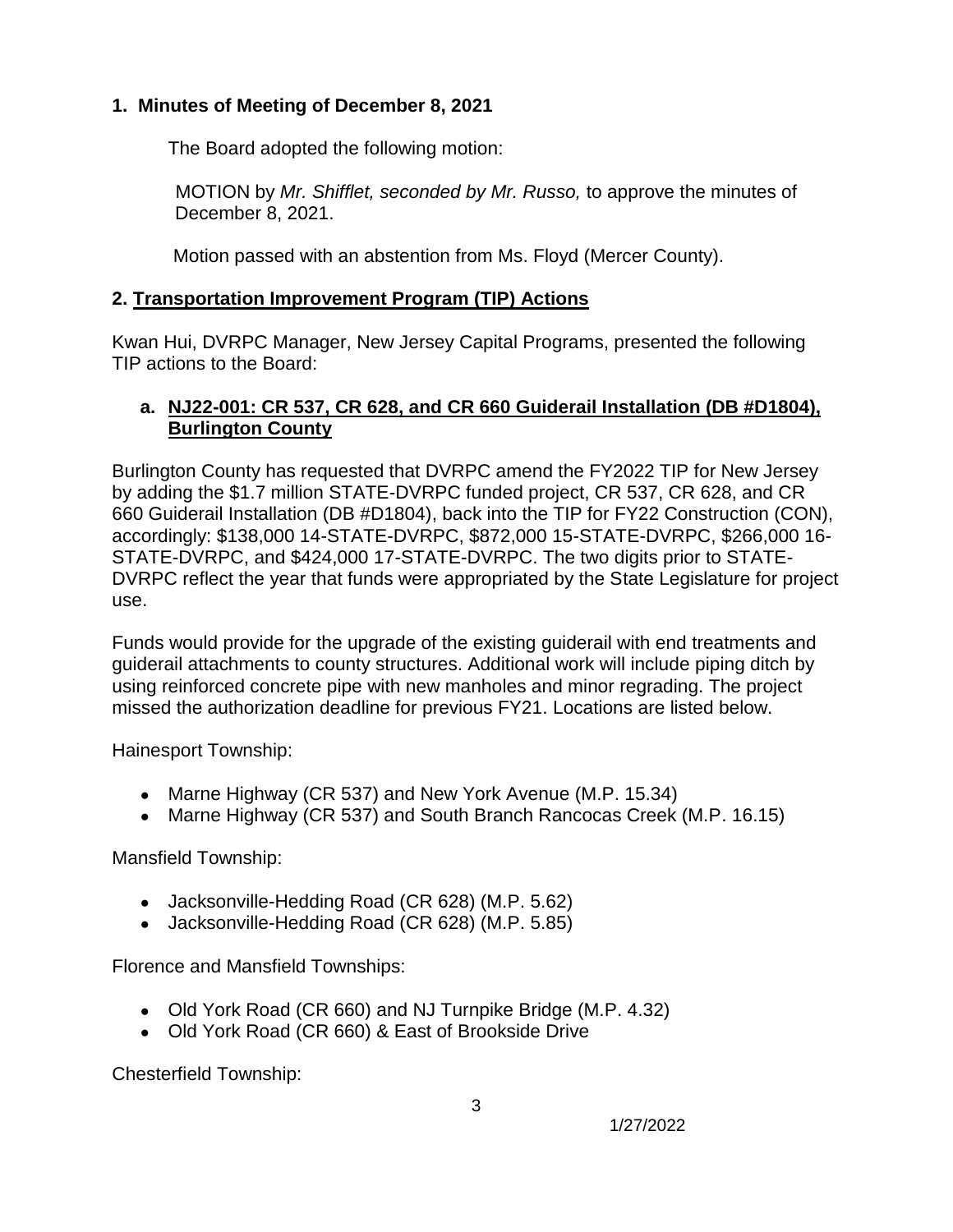# **1. Minutes of Meeting of December 8, 2021**

The Board adopted the following motion:

 MOTION by *Mr. Shifflet, seconded by Mr. Russo,* to approve the minutes of December 8, 2021.

Motion passed with an abstention from Ms. Floyd (Mercer County).

# **2. Transportation Improvement Program (TIP) Actions**

Kwan Hui, DVRPC Manager, New Jersey Capital Programs, presented the following TIP actions to the Board:

# **a. NJ22-001: CR 537, CR 628, and CR 660 Guiderail Installation (DB #D1804), Burlington County**

Burlington County has requested that DVRPC amend the FY2022 TIP for New Jersey by adding the \$1.7 million STATE-DVRPC funded project, CR 537, CR 628, and CR 660 Guiderail Installation (DB #D1804), back into the TIP for FY22 Construction (CON), accordingly: \$138,000 14-STATE-DVRPC, \$872,000 15-STATE-DVRPC, \$266,000 16- STATE-DVRPC, and \$424,000 17-STATE-DVRPC. The two digits prior to STATE-DVRPC reflect the year that funds were appropriated by the State Legislature for project use.

Funds would provide for the upgrade of the existing guiderail with end treatments and guiderail attachments to county structures. Additional work will include piping ditch by using reinforced concrete pipe with new manholes and minor regrading. The project missed the authorization deadline for previous FY21. Locations are listed below.

Hainesport Township:

- Marne Highway (CR 537) and New York Avenue (M.P. 15.34)
- Marne Highway (CR 537) and South Branch Rancocas Creek (M.P. 16.15)

3

Mansfield Township:

- Jacksonville-Hedding Road (CR 628) (M.P. 5.62)
- Jacksonville-Hedding Road (CR 628) (M.P. 5.85)

Florence and Mansfield Townships:

- Old York Road (CR 660) and NJ Turnpike Bridge (M.P. 4.32)
- Old York Road (CR 660) & East of Brookside Drive

Chesterfield Township: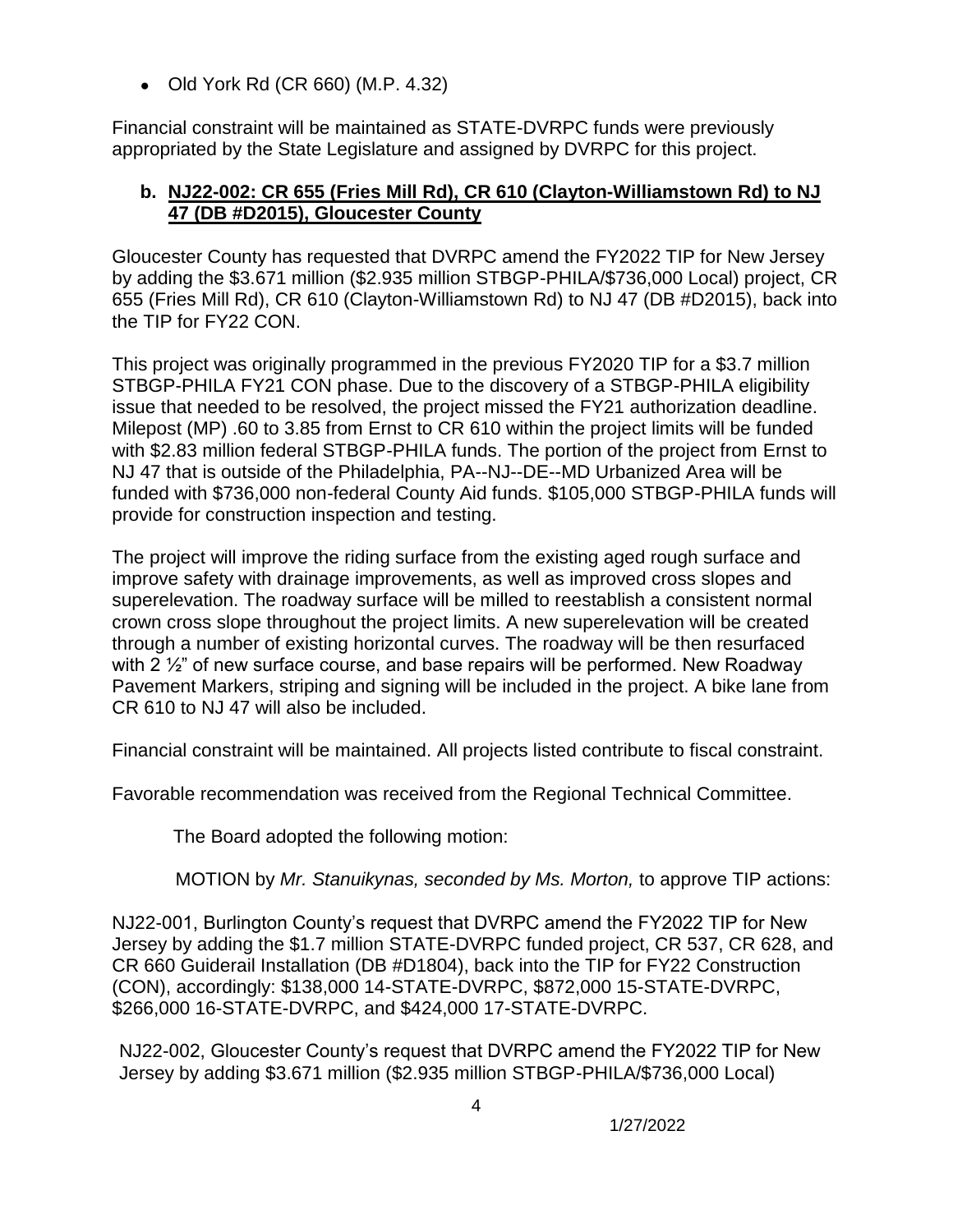● Old York Rd (CR 660) (M.P. 4.32)

Financial constraint will be maintained as STATE-DVRPC funds were previously appropriated by the State Legislature and assigned by DVRPC for this project.

#### **b. NJ22-002: CR 655 (Fries Mill Rd), CR 610 (Clayton-Williamstown Rd) to NJ 47 (DB #D2015), Gloucester County**

Gloucester County has requested that DVRPC amend the FY2022 TIP for New Jersey by adding the \$3.671 million (\$2.935 million STBGP-PHILA/\$736,000 Local) project, CR 655 (Fries Mill Rd), CR 610 (Clayton-Williamstown Rd) to NJ 47 (DB #D2015), back into the TIP for FY22 CON.

This project was originally programmed in the previous FY2020 TIP for a \$3.7 million STBGP-PHILA FY21 CON phase. Due to the discovery of a STBGP-PHILA eligibility issue that needed to be resolved, the project missed the FY21 authorization deadline. Milepost (MP) .60 to 3.85 from Ernst to CR 610 within the project limits will be funded with \$2.83 million federal STBGP-PHILA funds. The portion of the project from Ernst to NJ 47 that is outside of the Philadelphia, PA--NJ--DE--MD Urbanized Area will be funded with \$736,000 non-federal County Aid funds. \$105,000 STBGP-PHILA funds will provide for construction inspection and testing.

The project will improve the riding surface from the existing aged rough surface and improve safety with drainage improvements, as well as improved cross slopes and superelevation. The roadway surface will be milled to reestablish a consistent normal crown cross slope throughout the project limits. A new superelevation will be created through a number of existing horizontal curves. The roadway will be then resurfaced with 2  $\frac{1}{2}$ " of new surface course, and base repairs will be performed. New Roadway Pavement Markers, striping and signing will be included in the project. A bike lane from CR 610 to NJ 47 will also be included.

Financial constraint will be maintained. All projects listed contribute to fiscal constraint.

Favorable recommendation was received from the Regional Technical Committee.

The Board adopted the following motion:

MOTION by *Mr. Stanuikynas, seconded by Ms. Morton,* to approve TIP actions:

NJ22-001, Burlington County's request that DVRPC amend the FY2022 TIP for New Jersey by adding the \$1.7 million STATE-DVRPC funded project, CR 537, CR 628, and CR 660 Guiderail Installation (DB #D1804), back into the TIP for FY22 Construction (CON), accordingly: \$138,000 14-STATE-DVRPC, \$872,000 15-STATE-DVRPC, \$266,000 16-STATE-DVRPC, and \$424,000 17-STATE-DVRPC.

NJ22-002, Gloucester County's request that DVRPC amend the FY2022 TIP for New Jersey by adding \$3.671 million (\$2.935 million STBGP-PHILA/\$736,000 Local)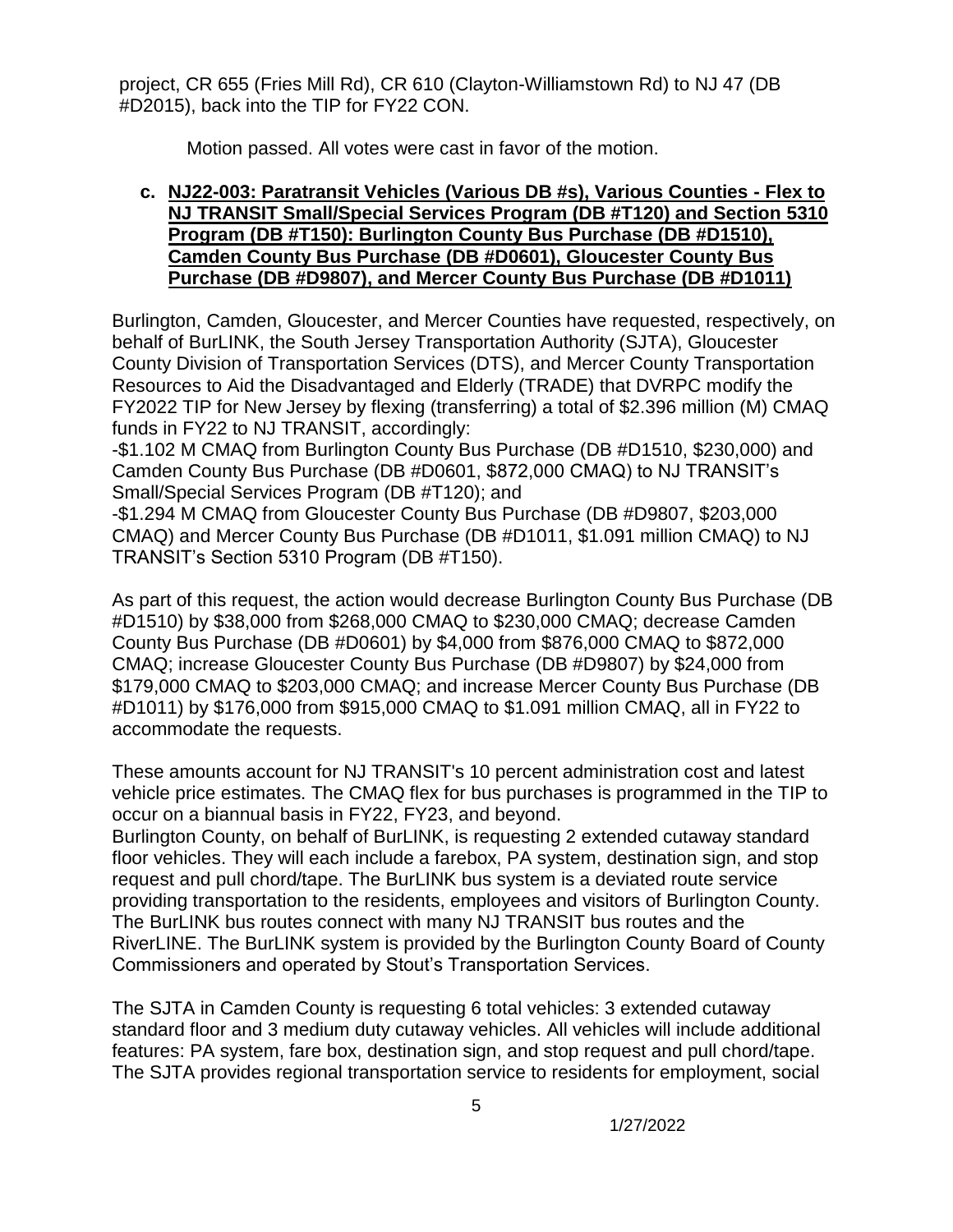project, CR 655 (Fries Mill Rd), CR 610 (Clayton-Williamstown Rd) to NJ 47 (DB #D2015), back into the TIP for FY22 CON.

Motion passed. All votes were cast in favor of the motion.

#### **c. NJ22-003: Paratransit Vehicles (Various DB #s), Various Counties - Flex to NJ TRANSIT Small/Special Services Program (DB #T120) and Section 5310 Program (DB #T150): Burlington County Bus Purchase (DB #D1510), Camden County Bus Purchase (DB #D0601), Gloucester County Bus Purchase (DB #D9807), and Mercer County Bus Purchase (DB #D1011)**

Burlington, Camden, Gloucester, and Mercer Counties have requested, respectively, on behalf of BurLINK, the South Jersey Transportation Authority (SJTA), Gloucester County Division of Transportation Services (DTS), and Mercer County Transportation Resources to Aid the Disadvantaged and Elderly (TRADE) that DVRPC modify the FY2022 TIP for New Jersey by flexing (transferring) a total of \$2.396 million (M) CMAQ funds in FY22 to NJ TRANSIT, accordingly:

-\$1.102 M CMAQ from Burlington County Bus Purchase (DB #D1510, \$230,000) and Camden County Bus Purchase (DB #D0601, \$872,000 CMAQ) to NJ TRANSIT's Small/Special Services Program (DB #T120); and

-\$1.294 M CMAQ from Gloucester County Bus Purchase (DB #D9807, \$203,000 CMAQ) and Mercer County Bus Purchase (DB #D1011, \$1.091 million CMAQ) to NJ TRANSIT's Section 5310 Program (DB #T150).

As part of this request, the action would decrease Burlington County Bus Purchase (DB #D1510) by \$38,000 from \$268,000 CMAQ to \$230,000 CMAQ; decrease Camden County Bus Purchase (DB #D0601) by \$4,000 from \$876,000 CMAQ to \$872,000 CMAQ; increase Gloucester County Bus Purchase (DB #D9807) by \$24,000 from \$179,000 CMAQ to \$203,000 CMAQ; and increase Mercer County Bus Purchase (DB #D1011) by \$176,000 from \$915,000 CMAQ to \$1.091 million CMAQ, all in FY22 to accommodate the requests.

These amounts account for NJ TRANSIT's 10 percent administration cost and latest vehicle price estimates. The CMAQ flex for bus purchases is programmed in the TIP to occur on a biannual basis in FY22, FY23, and beyond.

Burlington County, on behalf of BurLINK, is requesting 2 extended cutaway standard floor vehicles. They will each include a farebox, PA system, destination sign, and stop request and pull chord/tape. The BurLINK bus system is a deviated route service providing transportation to the residents, employees and visitors of Burlington County. The BurLINK bus routes connect with many NJ TRANSIT bus routes and the RiverLINE. The BurLINK system is provided by the Burlington County Board of County Commissioners and operated by Stout's Transportation Services.

The SJTA in Camden County is requesting 6 total vehicles: 3 extended cutaway standard floor and 3 medium duty cutaway vehicles. All vehicles will include additional features: PA system, fare box, destination sign, and stop request and pull chord/tape. The SJTA provides regional transportation service to residents for employment, social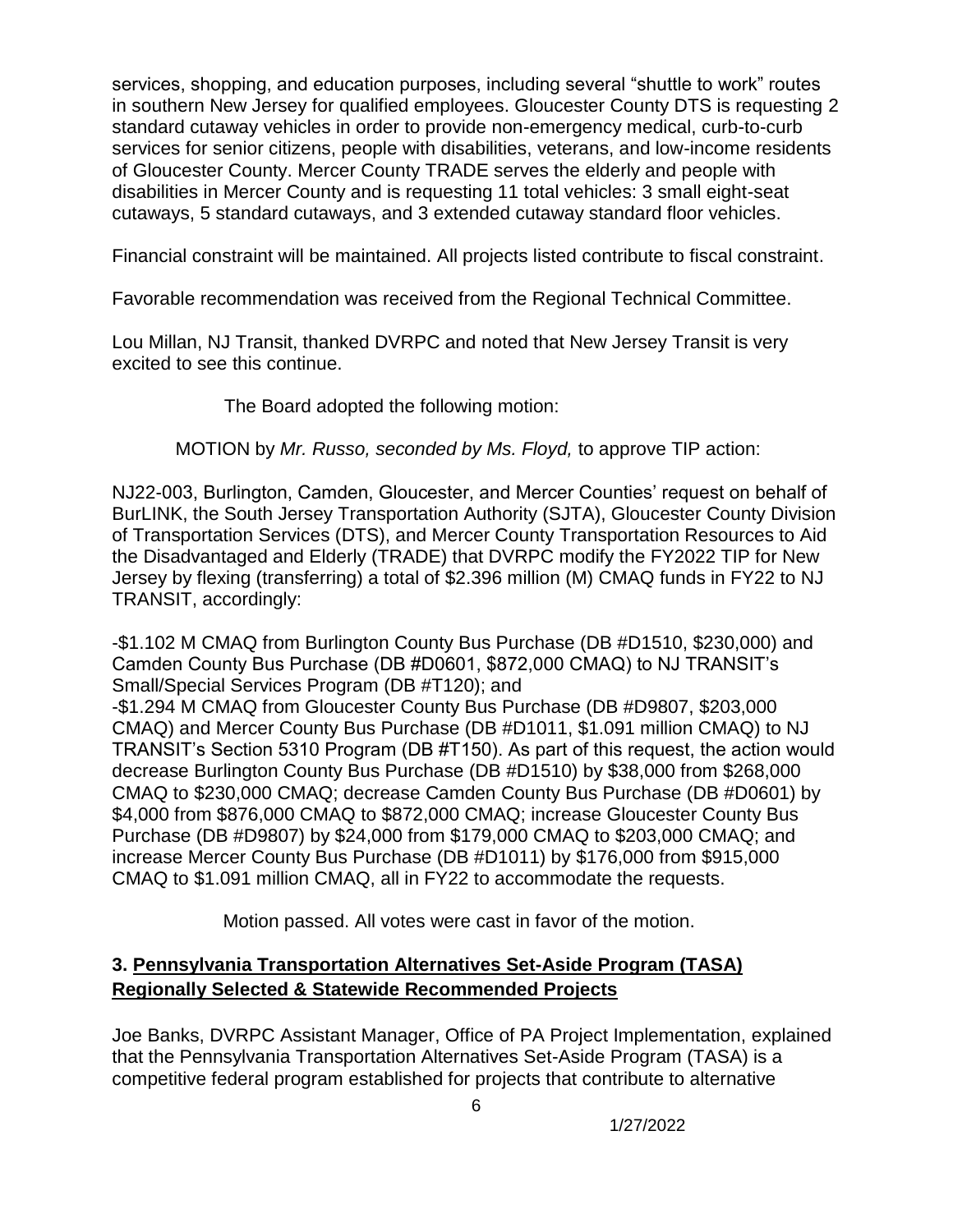services, shopping, and education purposes, including several "shuttle to work" routes in southern New Jersey for qualified employees. Gloucester County DTS is requesting 2 standard cutaway vehicles in order to provide non-emergency medical, curb-to-curb services for senior citizens, people with disabilities, veterans, and low-income residents of Gloucester County. Mercer County TRADE serves the elderly and people with disabilities in Mercer County and is requesting 11 total vehicles: 3 small eight-seat cutaways, 5 standard cutaways, and 3 extended cutaway standard floor vehicles.

Financial constraint will be maintained. All projects listed contribute to fiscal constraint.

Favorable recommendation was received from the Regional Technical Committee.

Lou Millan, NJ Transit, thanked DVRPC and noted that New Jersey Transit is very excited to see this continue.

The Board adopted the following motion:

MOTION by *Mr. Russo, seconded by Ms. Floyd,* to approve TIP action:

NJ22-003, Burlington, Camden, Gloucester, and Mercer Counties' request on behalf of BurLINK, the South Jersey Transportation Authority (SJTA), Gloucester County Division of Transportation Services (DTS), and Mercer County Transportation Resources to Aid the Disadvantaged and Elderly (TRADE) that DVRPC modify the FY2022 TIP for New Jersey by flexing (transferring) a total of \$2.396 million (M) CMAQ funds in FY22 to NJ TRANSIT, accordingly:

-\$1.102 M CMAQ from Burlington County Bus Purchase (DB #D1510, \$230,000) and Camden County Bus Purchase (DB #D0601, \$872,000 CMAQ) to NJ TRANSIT's Small/Special Services Program (DB #T120); and

-\$1.294 M CMAQ from Gloucester County Bus Purchase (DB #D9807, \$203,000 CMAQ) and Mercer County Bus Purchase (DB #D1011, \$1.091 million CMAQ) to NJ TRANSIT's Section 5310 Program (DB #T150). As part of this request, the action would decrease Burlington County Bus Purchase (DB #D1510) by \$38,000 from \$268,000 CMAQ to \$230,000 CMAQ; decrease Camden County Bus Purchase (DB #D0601) by \$4,000 from \$876,000 CMAQ to \$872,000 CMAQ; increase Gloucester County Bus Purchase (DB #D9807) by \$24,000 from \$179,000 CMAQ to \$203,000 CMAQ; and increase Mercer County Bus Purchase (DB #D1011) by \$176,000 from \$915,000 CMAQ to \$1.091 million CMAQ, all in FY22 to accommodate the requests.

Motion passed. All votes were cast in favor of the motion.

# **3. Pennsylvania Transportation Alternatives Set-Aside Program (TASA) Regionally Selected & Statewide Recommended Projects**

Joe Banks, DVRPC Assistant Manager, Office of PA Project Implementation, explained that the Pennsylvania Transportation Alternatives Set-Aside Program (TASA) is a competitive federal program established for projects that contribute to alternative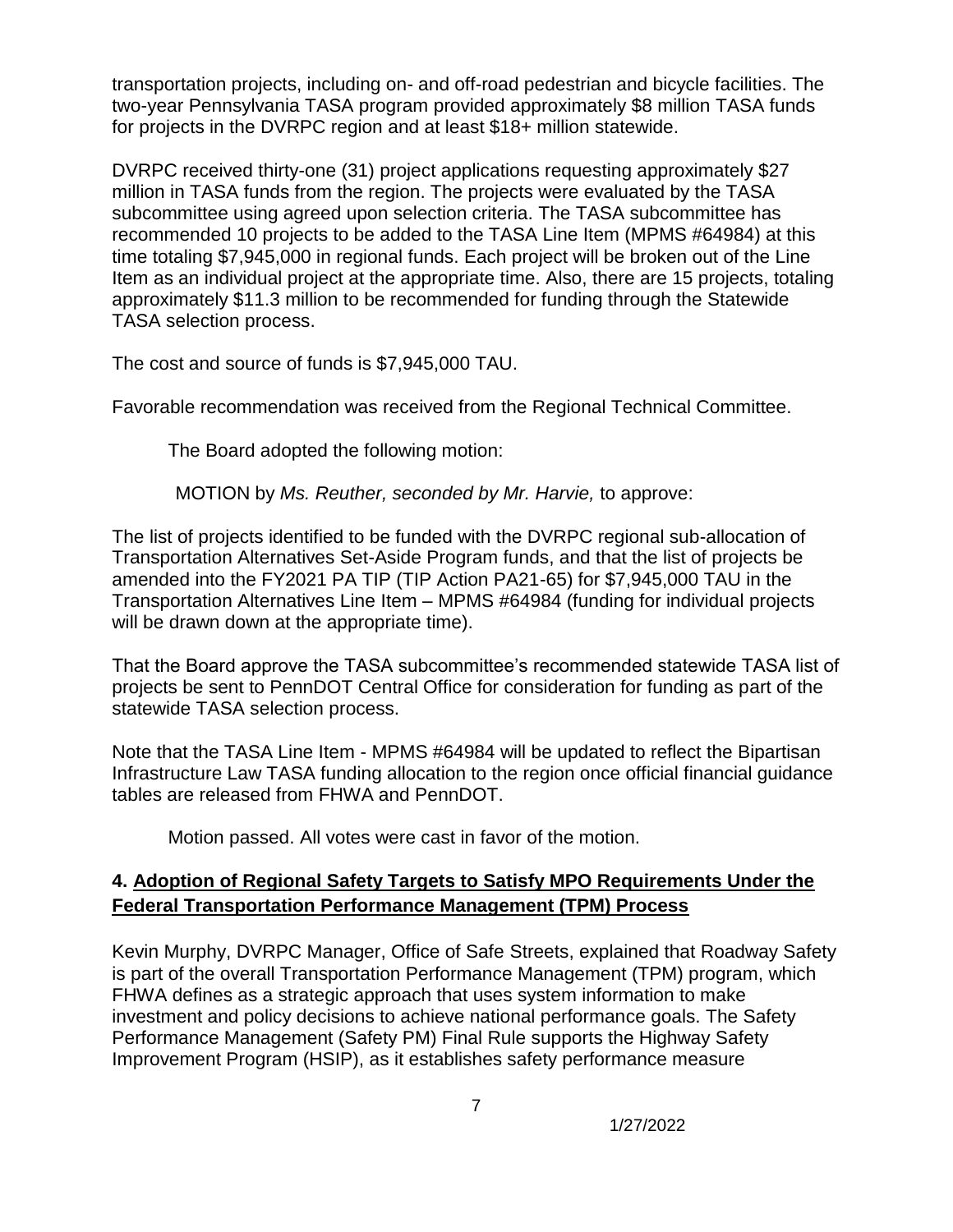transportation projects, including on- and off-road pedestrian and bicycle facilities. The two-year Pennsylvania TASA program provided approximately \$8 million TASA funds for projects in the DVRPC region and at least \$18+ million statewide.

DVRPC received thirty-one (31) project applications requesting approximately \$27 million in TASA funds from the region. The projects were evaluated by the TASA subcommittee using agreed upon selection criteria. The TASA subcommittee has recommended 10 projects to be added to the TASA Line Item (MPMS #64984) at this time totaling \$7,945,000 in regional funds. Each project will be broken out of the Line Item as an individual project at the appropriate time. Also, there are 15 projects, totaling approximately \$11.3 million to be recommended for funding through the Statewide TASA selection process.

The cost and source of funds is \$7,945,000 TAU.

Favorable recommendation was received from the Regional Technical Committee.

The Board adopted the following motion:

MOTION by *Ms. Reuther, seconded by Mr. Harvie,* to approve:

The list of projects identified to be funded with the DVRPC regional sub-allocation of Transportation Alternatives Set-Aside Program funds, and that the list of projects be amended into the FY2021 PA TIP (TIP Action PA21-65) for \$7,945,000 TAU in the Transportation Alternatives Line Item – MPMS #64984 (funding for individual projects will be drawn down at the appropriate time).

That the Board approve the TASA subcommittee's recommended statewide TASA list of projects be sent to PennDOT Central Office for consideration for funding as part of the statewide TASA selection process.

Note that the TASA Line Item - MPMS #64984 will be updated to reflect the Bipartisan Infrastructure Law TASA funding allocation to the region once official financial guidance tables are released from FHWA and PennDOT.

Motion passed. All votes were cast in favor of the motion.

# **4. Adoption of Regional Safety Targets to Satisfy MPO Requirements Under the Federal Transportation Performance Management (TPM) Process**

Kevin Murphy, DVRPC Manager, Office of Safe Streets, explained that Roadway Safety is part of the overall Transportation Performance Management (TPM) program, which FHWA defines as a strategic approach that uses system information to make investment and policy decisions to achieve national performance goals. The Safety Performance Management (Safety PM) Final Rule supports the Highway Safety Improvement Program (HSIP), as it establishes safety performance measure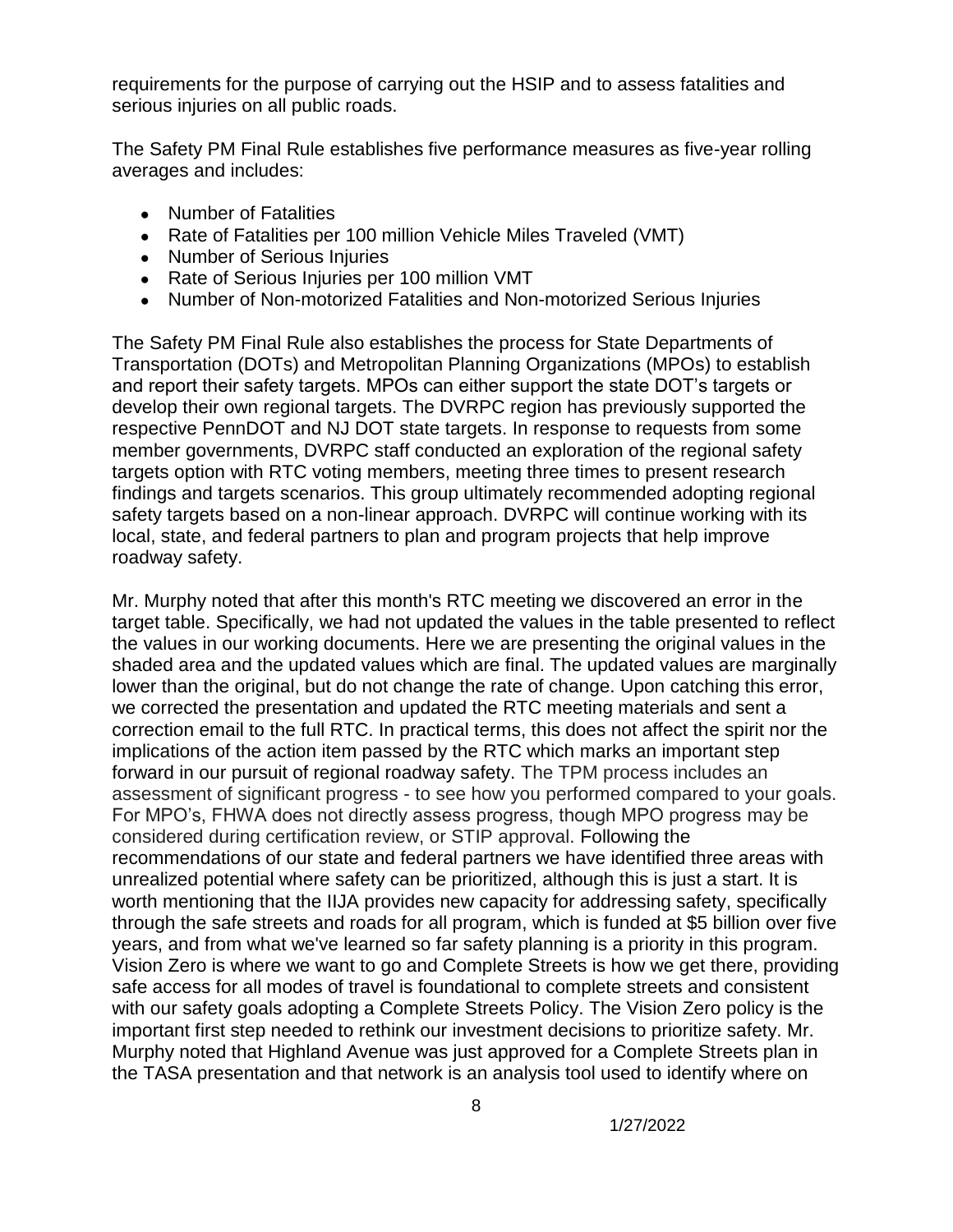requirements for the purpose of carrying out the HSIP and to assess fatalities and serious injuries on all public roads.

The Safety PM Final Rule establishes five performance measures as five-year rolling averages and includes:

- Number of Fatalities
- Rate of Fatalities per 100 million Vehicle Miles Traveled (VMT)
- Number of Serious Injuries
- Rate of Serious Iniuries per 100 million VMT
- Number of Non-motorized Fatalities and Non-motorized Serious Injuries

The Safety PM Final Rule also establishes the process for State Departments of Transportation (DOTs) and Metropolitan Planning Organizations (MPOs) to establish and report their safety targets. MPOs can either support the state DOT's targets or develop their own regional targets. The DVRPC region has previously supported the respective PennDOT and NJ DOT state targets. In response to requests from some member governments, DVRPC staff conducted an exploration of the regional safety targets option with RTC voting members, meeting three times to present research findings and targets scenarios. This group ultimately recommended adopting regional safety targets based on a non-linear approach. DVRPC will continue working with its local, state, and federal partners to plan and program projects that help improve roadway safety.

Mr. Murphy noted that after this month's RTC meeting we discovered an error in the target table. Specifically, we had not updated the values in the table presented to reflect the values in our working documents. Here we are presenting the original values in the shaded area and the updated values which are final. The updated values are marginally lower than the original, but do not change the rate of change. Upon catching this error, we corrected the presentation and updated the RTC meeting materials and sent a correction email to the full RTC. In practical terms, this does not affect the spirit nor the implications of the action item passed by the RTC which marks an important step forward in our pursuit of regional roadway safety. The TPM process includes an assessment of significant progress - to see how you performed compared to your goals. For MPO's, FHWA does not directly assess progress, though MPO progress may be considered during certification review, or STIP approval. Following the recommendations of our state and federal partners we have identified three areas with unrealized potential where safety can be prioritized, although this is just a start. It is worth mentioning that the IIJA provides new capacity for addressing safety, specifically through the safe streets and roads for all program, which is funded at \$5 billion over five years, and from what we've learned so far safety planning is a priority in this program. Vision Zero is where we want to go and Complete Streets is how we get there, providing safe access for all modes of travel is foundational to complete streets and consistent with our safety goals adopting a Complete Streets Policy. The Vision Zero policy is the important first step needed to rethink our investment decisions to prioritize safety. Mr. Murphy noted that Highland Avenue was just approved for a Complete Streets plan in the TASA presentation and that network is an analysis tool used to identify where on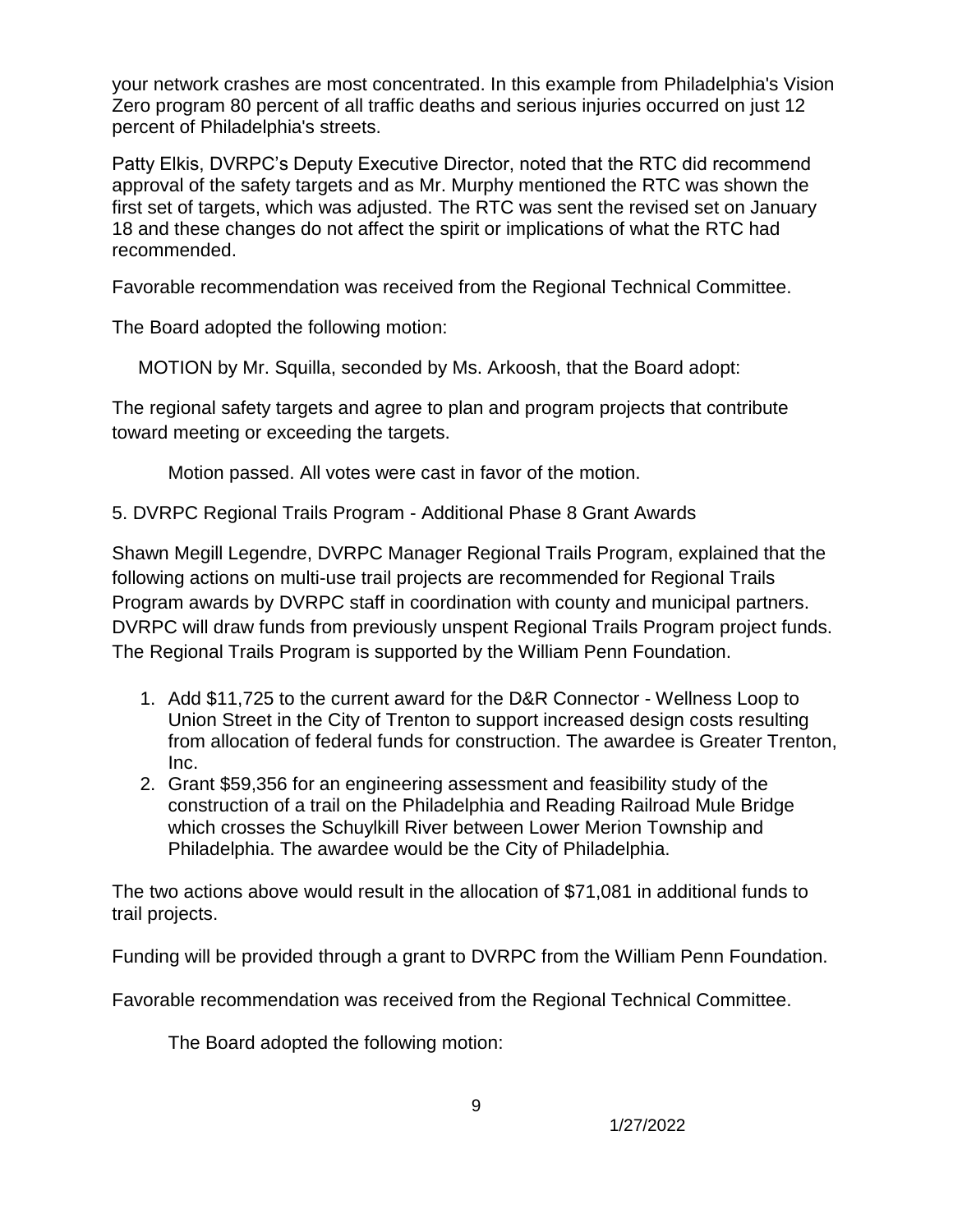your network crashes are most concentrated. In this example from Philadelphia's Vision Zero program 80 percent of all traffic deaths and serious injuries occurred on just 12 percent of Philadelphia's streets.

Patty Elkis, DVRPC's Deputy Executive Director, noted that the RTC did recommend approval of the safety targets and as Mr. Murphy mentioned the RTC was shown the first set of targets, which was adjusted. The RTC was sent the revised set on January 18 and these changes do not affect the spirit or implications of what the RTC had recommended.

Favorable recommendation was received from the Regional Technical Committee.

The Board adopted the following motion:

MOTION by Mr. Squilla, seconded by Ms. Arkoosh, that the Board adopt:

The regional safety targets and agree to plan and program projects that contribute toward meeting or exceeding the targets.

Motion passed. All votes were cast in favor of the motion.

5. DVRPC Regional Trails Program - Additional Phase 8 Grant Awards

Shawn Megill Legendre, DVRPC Manager Regional Trails Program, explained that the following actions on multi-use trail projects are recommended for Regional Trails Program awards by DVRPC staff in coordination with county and municipal partners. DVRPC will draw funds from previously unspent Regional Trails Program project funds. The Regional Trails Program is supported by the William Penn Foundation.

- 1. Add \$11,725 to the current award for the D&R Connector Wellness Loop to Union Street in the City of Trenton to support increased design costs resulting from allocation of federal funds for construction. The awardee is Greater Trenton, Inc.
- 2. Grant \$59,356 for an engineering assessment and feasibility study of the construction of a trail on the Philadelphia and Reading Railroad Mule Bridge which crosses the Schuylkill River between Lower Merion Township and Philadelphia. The awardee would be the City of Philadelphia.

The two actions above would result in the allocation of \$71,081 in additional funds to trail projects.

Funding will be provided through a grant to DVRPC from the William Penn Foundation.

Favorable recommendation was received from the Regional Technical Committee.

The Board adopted the following motion: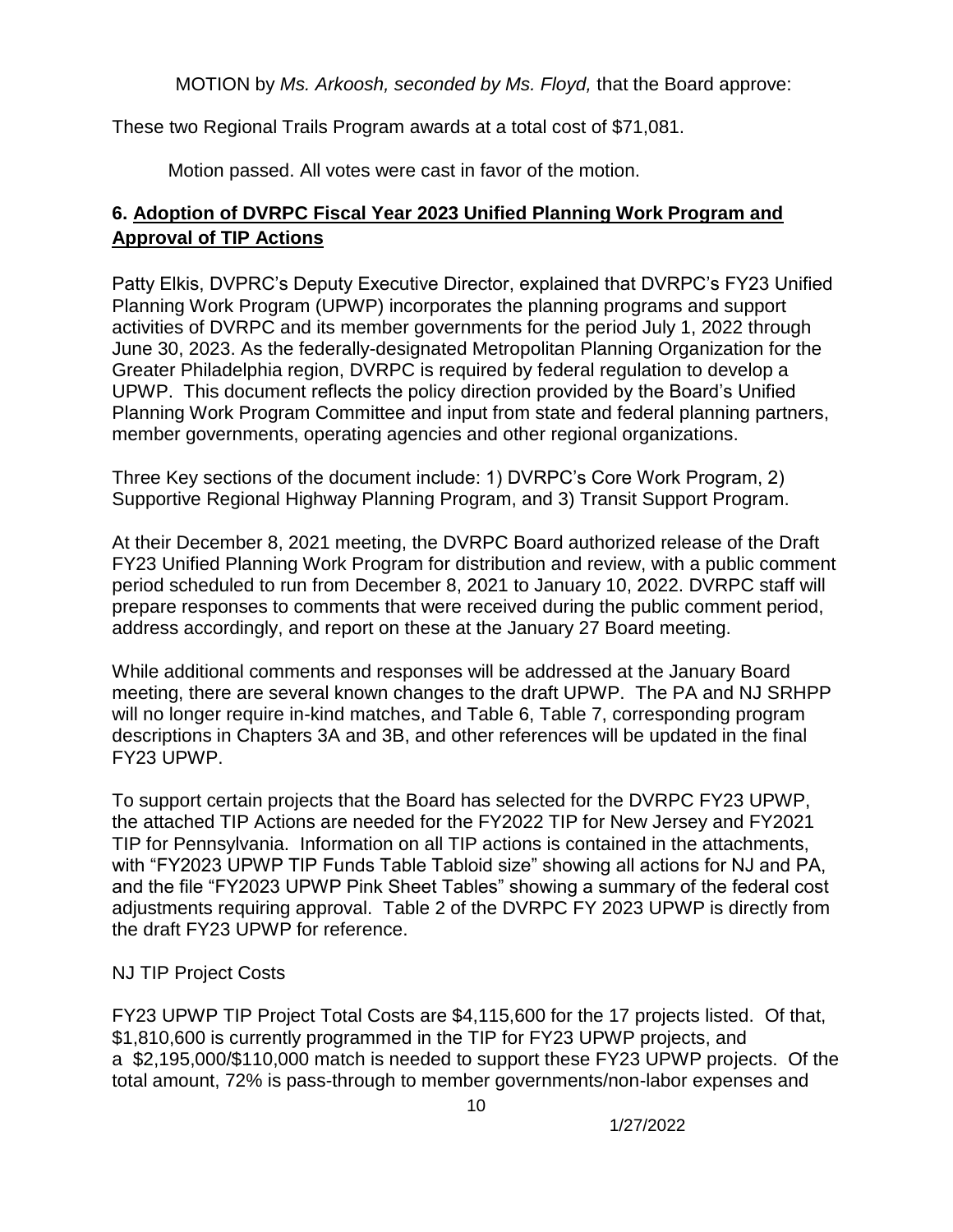MOTION by *Ms. Arkoosh, seconded by Ms. Floyd,* that the Board approve:

These two Regional Trails Program awards at a total cost of \$71,081.

Motion passed. All votes were cast in favor of the motion.

# **6. Adoption of DVRPC Fiscal Year 2023 Unified Planning Work Program and Approval of TIP Actions**

Patty Elkis, DVPRC's Deputy Executive Director, explained that DVRPC's FY23 Unified Planning Work Program (UPWP) incorporates the planning programs and support activities of DVRPC and its member governments for the period July 1, 2022 through June 30, 2023. As the federally-designated Metropolitan Planning Organization for the Greater Philadelphia region, DVRPC is required by federal regulation to develop a UPWP. This document reflects the policy direction provided by the Board's Unified Planning Work Program Committee and input from state and federal planning partners, member governments, operating agencies and other regional organizations.

Three Key sections of the document include: 1) DVRPC's Core Work Program, 2) Supportive Regional Highway Planning Program, and 3) Transit Support Program.

At their December 8, 2021 meeting, the DVRPC Board authorized release of the Draft FY23 Unified Planning Work Program for distribution and review, with a public comment period scheduled to run from December 8, 2021 to January 10, 2022. DVRPC staff will prepare responses to comments that were received during the public comment period, address accordingly, and report on these at the January 27 Board meeting.

While additional comments and responses will be addressed at the January Board meeting, there are several known changes to the draft UPWP. The PA and NJ SRHPP will no longer require in-kind matches, and Table 6, Table 7, corresponding program descriptions in Chapters 3A and 3B, and other references will be updated in the final FY23 UPWP.

To support certain projects that the Board has selected for the DVRPC FY23 UPWP, the attached TIP Actions are needed for the FY2022 TIP for New Jersey and FY2021 TIP for Pennsylvania. Information on all TIP actions is contained in the attachments, with "FY2023 UPWP TIP Funds Table Tabloid size" showing all actions for NJ and PA, and the file "FY2023 UPWP Pink Sheet Tables" showing a summary of the federal cost adjustments requiring approval. Table 2 of the DVRPC FY 2023 UPWP is directly from the draft FY23 UPWP for reference.

# NJ TIP Project Costs

FY23 UPWP TIP Project Total Costs are \$4,115,600 for the 17 projects listed. Of that, \$1,810,600 is currently programmed in the TIP for FY23 UPWP projects, and a \$2,195,000/\$110,000 match is needed to support these FY23 UPWP projects. Of the total amount, 72% is pass-through to member governments/non-labor expenses and

10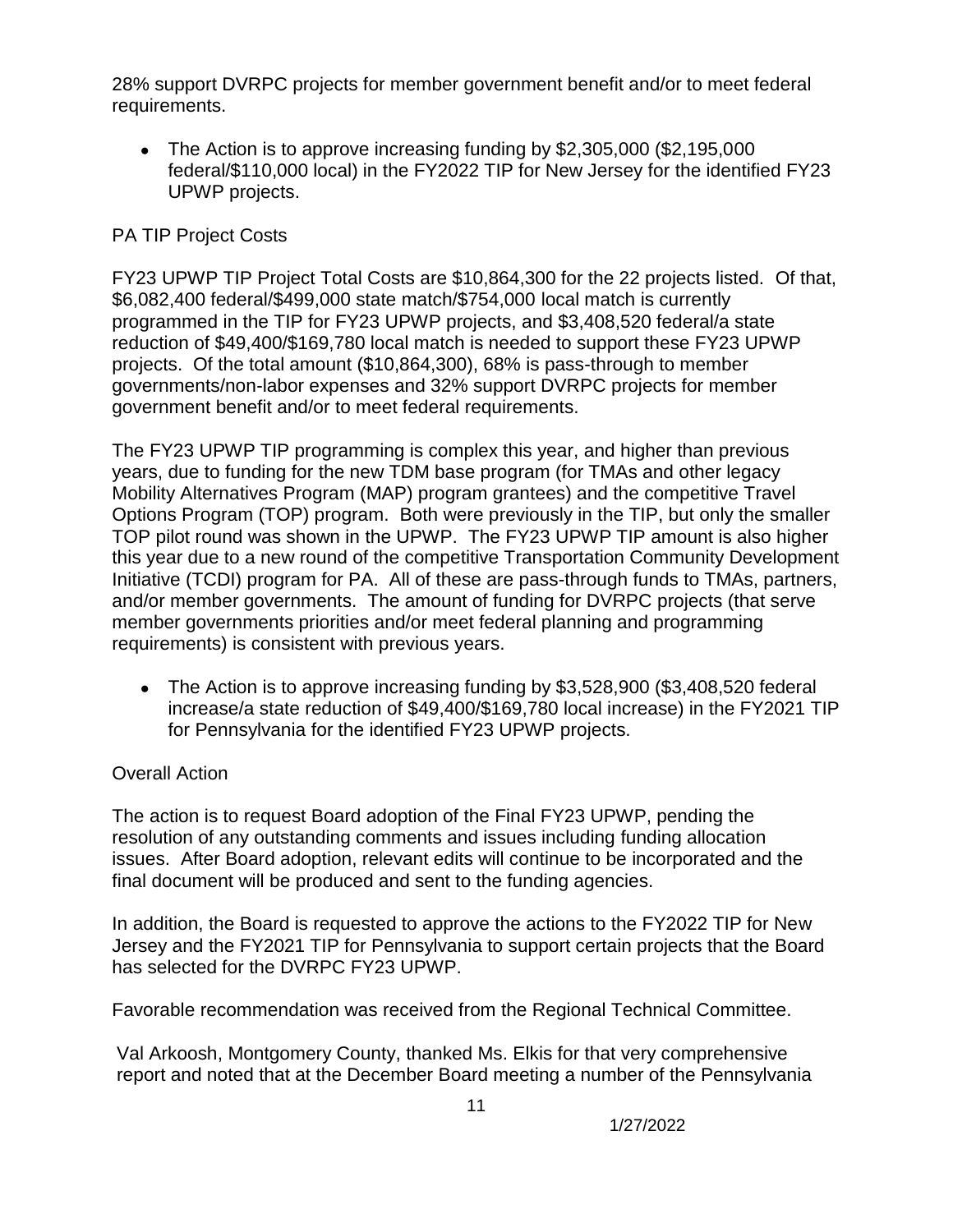28% support DVRPC projects for member government benefit and/or to meet federal requirements.

• The Action is to approve increasing funding by \$2,305,000 (\$2,195,000) federal/\$110,000 local) in the FY2022 TIP for New Jersey for the identified FY23 UPWP projects.

# PA TIP Project Costs

FY23 UPWP TIP Project Total Costs are \$10,864,300 for the 22 projects listed. Of that, \$6,082,400 federal/\$499,000 state match/\$754,000 local match is currently programmed in the TIP for FY23 UPWP projects, and \$3,408,520 federal/a state reduction of \$49,400/\$169,780 local match is needed to support these FY23 UPWP projects. Of the total amount (\$10,864,300), 68% is pass-through to member governments/non-labor expenses and 32% support DVRPC projects for member government benefit and/or to meet federal requirements.

The FY23 UPWP TIP programming is complex this year, and higher than previous years, due to funding for the new TDM base program (for TMAs and other legacy Mobility Alternatives Program (MAP) program grantees) and the competitive Travel Options Program (TOP) program. Both were previously in the TIP, but only the smaller TOP pilot round was shown in the UPWP. The FY23 UPWP TIP amount is also higher this year due to a new round of the competitive Transportation Community Development Initiative (TCDI) program for PA. All of these are pass-through funds to TMAs, partners, and/or member governments. The amount of funding for DVRPC projects (that serve member governments priorities and/or meet federal planning and programming requirements) is consistent with previous years.

• The Action is to approve increasing funding by  $$3,528,900$  (\$3,408,520 federal increase/a state reduction of \$49,400/\$169,780 local increase) in the FY2021 TIP for Pennsylvania for the identified FY23 UPWP projects.

# Overall Action

The action is to request Board adoption of the Final FY23 UPWP, pending the resolution of any outstanding comments and issues including funding allocation issues. After Board adoption, relevant edits will continue to be incorporated and the final document will be produced and sent to the funding agencies.

In addition, the Board is requested to approve the actions to the FY2022 TIP for New Jersey and the FY2021 TIP for Pennsylvania to support certain projects that the Board has selected for the DVRPC FY23 UPWP.

Favorable recommendation was received from the Regional Technical Committee.

Val Arkoosh, Montgomery County, thanked Ms. Elkis for that very comprehensive report and noted that at the December Board meeting a number of the Pennsylvania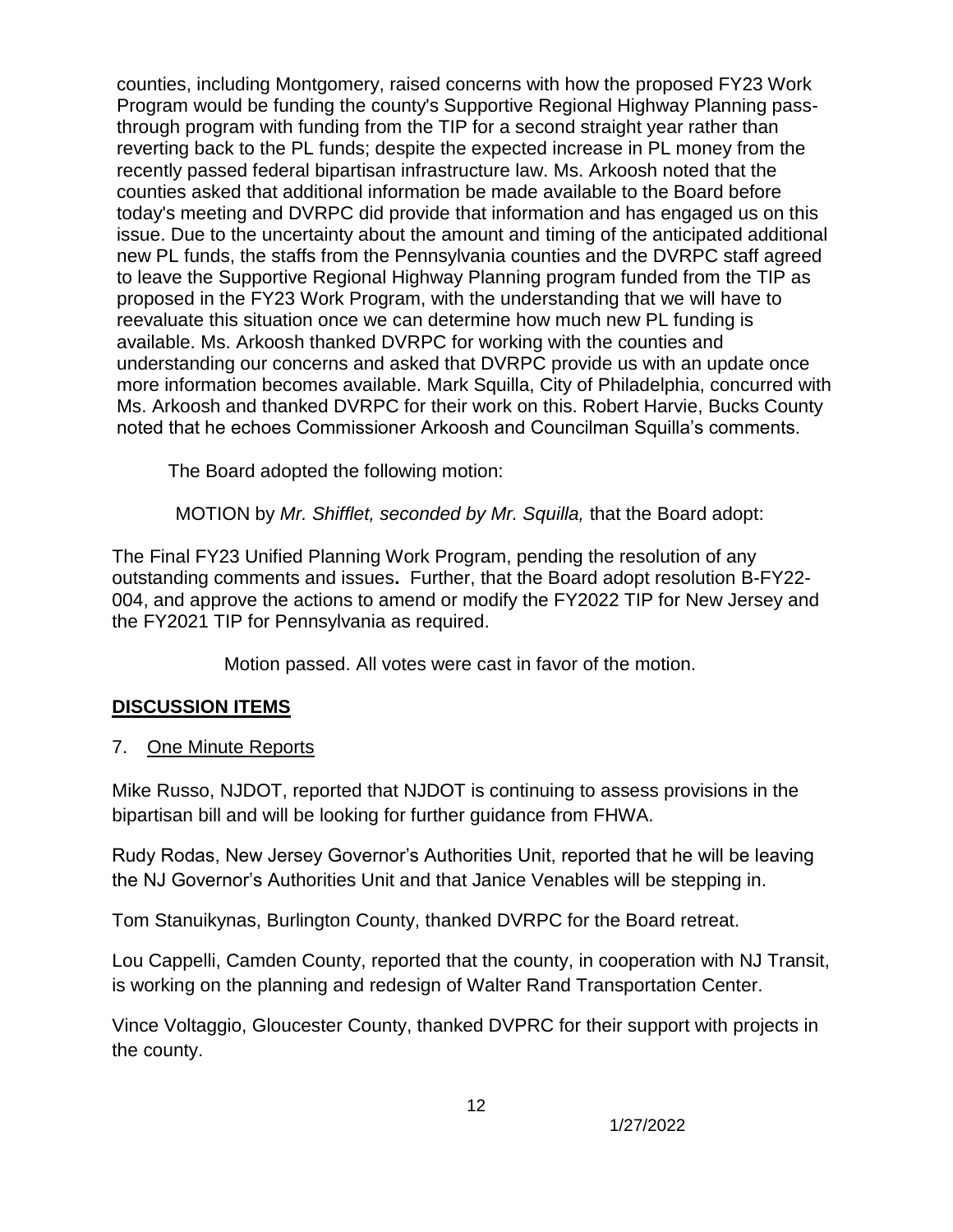counties, including Montgomery, raised concerns with how the proposed FY23 Work Program would be funding the county's Supportive Regional Highway Planning passthrough program with funding from the TIP for a second straight year rather than reverting back to the PL funds; despite the expected increase in PL money from the recently passed federal bipartisan infrastructure law. Ms. Arkoosh noted that the counties asked that additional information be made available to the Board before today's meeting and DVRPC did provide that information and has engaged us on this issue. Due to the uncertainty about the amount and timing of the anticipated additional new PL funds, the staffs from the Pennsylvania counties and the DVRPC staff agreed to leave the Supportive Regional Highway Planning program funded from the TIP as proposed in the FY23 Work Program, with the understanding that we will have to reevaluate this situation once we can determine how much new PL funding is available. Ms. Arkoosh thanked DVRPC for working with the counties and understanding our concerns and asked that DVRPC provide us with an update once more information becomes available. Mark Squilla, City of Philadelphia, concurred with Ms. Arkoosh and thanked DVRPC for their work on this. Robert Harvie, Bucks County noted that he echoes Commissioner Arkoosh and Councilman Squilla's comments.

The Board adopted the following motion:

MOTION by *Mr. Shifflet, seconded by Mr. Squilla,* that the Board adopt:

The Final FY23 Unified Planning Work Program, pending the resolution of any outstanding comments and issues**.** Further, that the Board adopt resolution B-FY22- 004, and approve the actions to amend or modify the FY2022 TIP for New Jersey and the FY2021 TIP for Pennsylvania as required.

Motion passed. All votes were cast in favor of the motion.

# **DISCUSSION ITEMS**

7. One Minute Reports

Mike Russo, NJDOT, reported that NJDOT is continuing to assess provisions in the bipartisan bill and will be looking for further guidance from FHWA.

Rudy Rodas, New Jersey Governor's Authorities Unit, reported that he will be leaving the NJ Governor's Authorities Unit and that Janice Venables will be stepping in.

Tom Stanuikynas, Burlington County, thanked DVRPC for the Board retreat.

Lou Cappelli, Camden County, reported that the county, in cooperation with NJ Transit, is working on the planning and redesign of Walter Rand Transportation Center.

Vince Voltaggio, Gloucester County, thanked DVPRC for their support with projects in the county.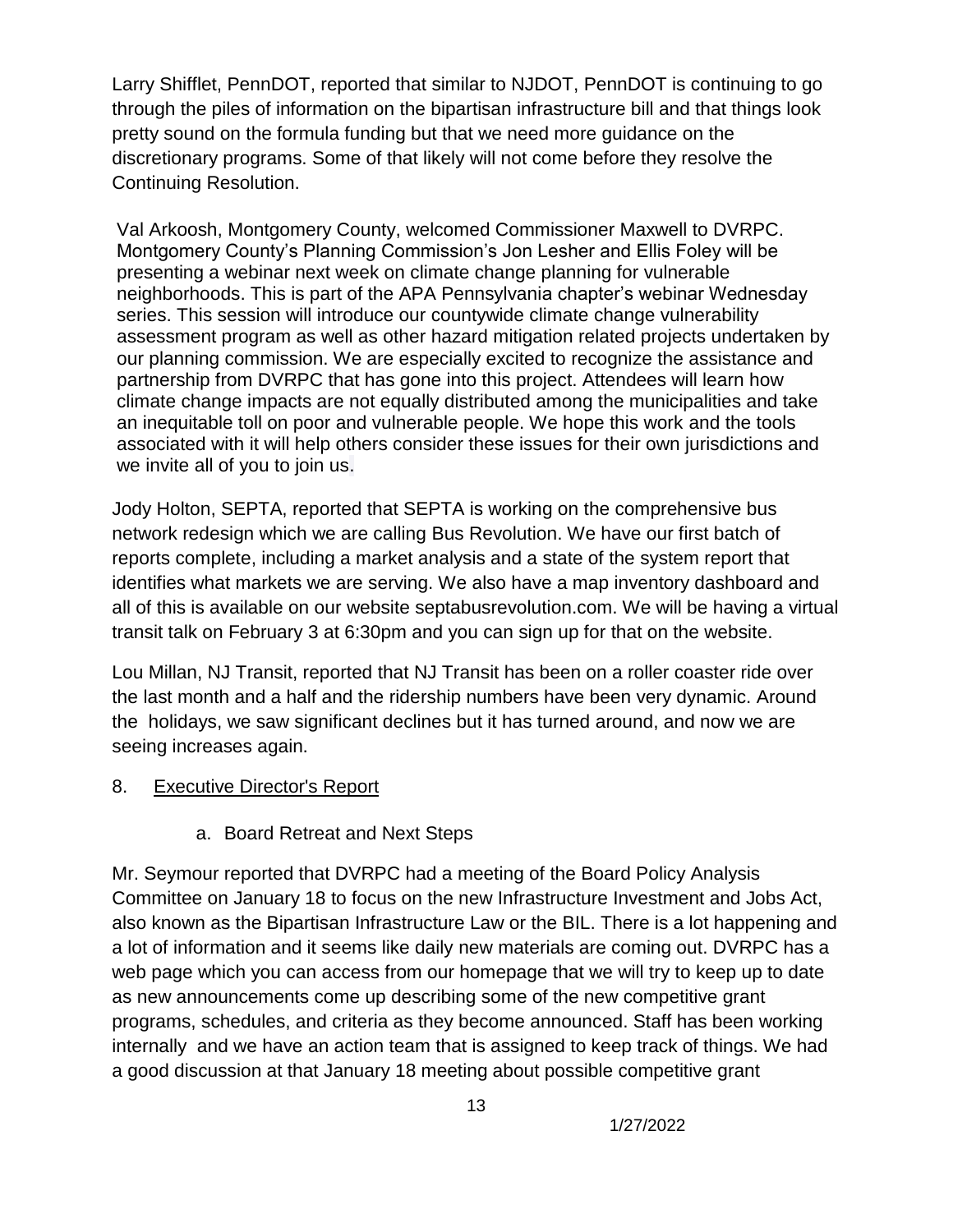Larry Shifflet, PennDOT, reported that similar to NJDOT, PennDOT is continuing to go through the piles of information on the bipartisan infrastructure bill and that things look pretty sound on the formula funding but that we need more guidance on the discretionary programs. Some of that likely will not come before they resolve the Continuing Resolution.

Val Arkoosh, Montgomery County, welcomed Commissioner Maxwell to DVRPC. Montgomery County's Planning Commission's Jon Lesher and Ellis Foley will be presenting a webinar next week on climate change planning for vulnerable neighborhoods. This is part of the APA Pennsylvania chapter's webinar Wednesday series. This session will introduce our countywide climate change vulnerability assessment program as well as other hazard mitigation related projects undertaken by our planning commission. We are especially excited to recognize the assistance and partnership from DVRPC that has gone into this project. Attendees will learn how climate change impacts are not equally distributed among the municipalities and take an inequitable toll on poor and vulnerable people. We hope this work and the tools associated with it will help others consider these issues for their own jurisdictions and we invite all of you to join us.

Jody Holton, SEPTA, reported that SEPTA is working on the comprehensive bus network redesign which we are calling Bus Revolution. We have our first batch of reports complete, including a market analysis and a state of the system report that identifies what markets we are serving. We also have a map inventory dashboard and all of this is available on our website septabusrevolution.com. We will be having a virtual transit talk on February 3 at 6:30pm and you can sign up for that on the website.

Lou Millan, NJ Transit, reported that NJ Transit has been on a roller coaster ride over the last month and a half and the ridership numbers have been very dynamic. Around the holidays, we saw significant declines but it has turned around, and now we are seeing increases again.

#### 8. Executive Director's Report

# a. Board Retreat and Next Steps

Mr. Seymour reported that DVRPC had a meeting of the Board Policy Analysis Committee on January 18 to focus on the new Infrastructure Investment and Jobs Act, also known as the Bipartisan Infrastructure Law or the BIL. There is a lot happening and a lot of information and it seems like daily new materials are coming out. DVRPC has a web page which you can access from our homepage that we will try to keep up to date as new announcements come up describing some of the new competitive grant programs, schedules, and criteria as they become announced. Staff has been working internally and we have an action team that is assigned to keep track of things. We had a good discussion at that January 18 meeting about possible competitive grant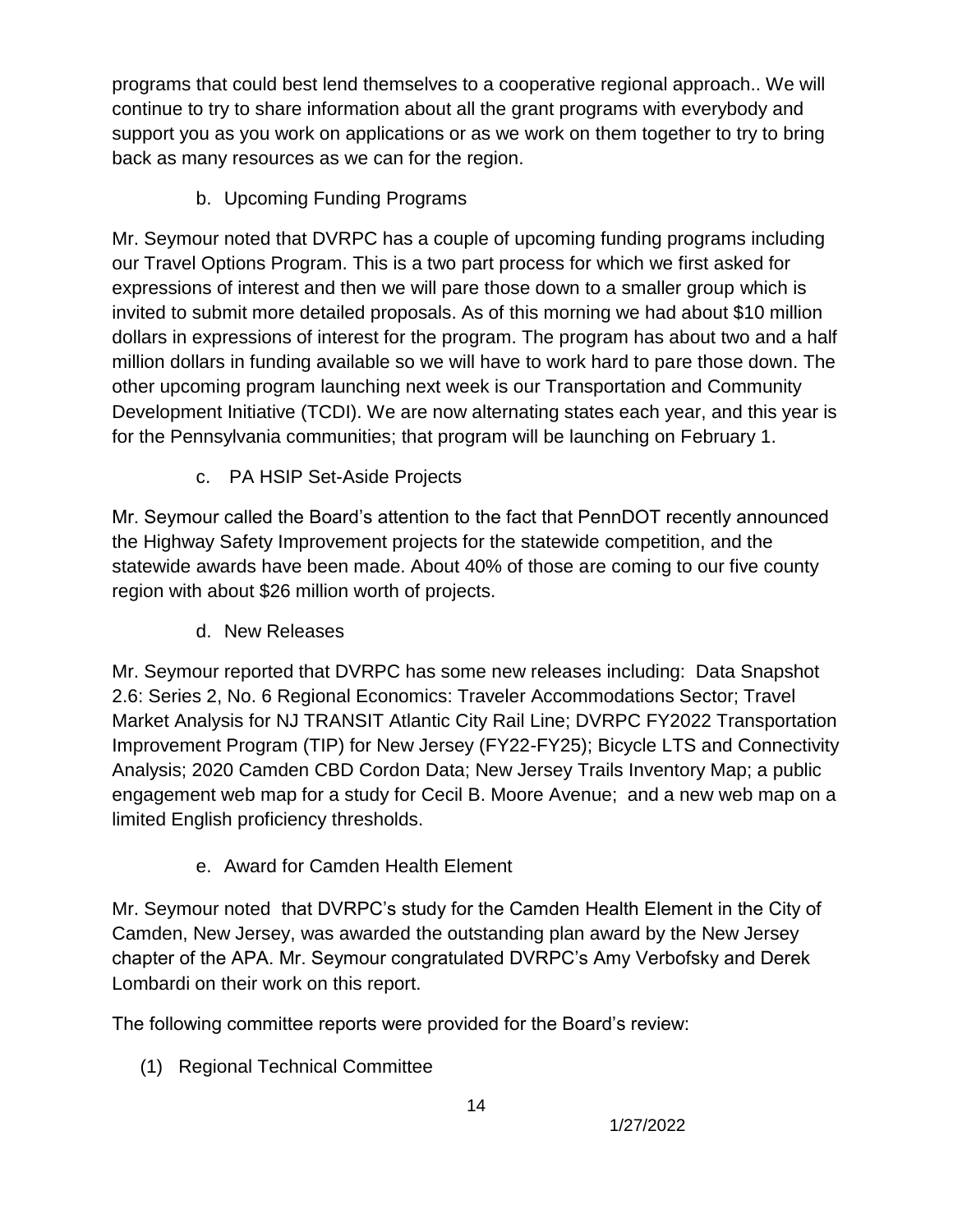programs that could best lend themselves to a cooperative regional approach.. We will continue to try to share information about all the grant programs with everybody and support you as you work on applications or as we work on them together to try to bring back as many resources as we can for the region.

b. Upcoming Funding Programs

Mr. Seymour noted that DVRPC has a couple of upcoming funding programs including our Travel Options Program. This is a two part process for which we first asked for expressions of interest and then we will pare those down to a smaller group which is invited to submit more detailed proposals. As of this morning we had about \$10 million dollars in expressions of interest for the program. The program has about two and a half million dollars in funding available so we will have to work hard to pare those down. The other upcoming program launching next week is our Transportation and Community Development Initiative (TCDI). We are now alternating states each year, and this year is for the Pennsylvania communities; that program will be launching on February 1.

c. PA HSIP Set-Aside Projects

Mr. Seymour called the Board's attention to the fact that PennDOT recently announced the Highway Safety Improvement projects for the statewide competition, and the statewide awards have been made. About 40% of those are coming to our five county region with about \$26 million worth of projects.

d. New Releases

Mr. Seymour reported that DVRPC has some new releases including: Data Snapshot 2.6: Series 2, No. 6 Regional Economics: Traveler Accommodations Sector; Travel Market Analysis for NJ TRANSIT Atlantic City Rail Line; DVRPC FY2022 Transportation Improvement Program (TIP) for New Jersey (FY22-FY25); Bicycle LTS and Connectivity Analysis; 2020 Camden CBD Cordon Data; New Jersey Trails Inventory Map; a public engagement web map for a study for Cecil B. Moore Avenue; and a new web map on a limited English proficiency thresholds.

e. Award for Camden Health Element

Mr. Seymour noted that DVRPC's study for the Camden Health Element in the City of Camden, New Jersey, was awarded the outstanding plan award by the New Jersey chapter of the APA. Mr. Seymour congratulated DVRPC's Amy Verbofsky and Derek Lombardi on their work on this report.

The following committee reports were provided for the Board's review:

(1) Regional Technical Committee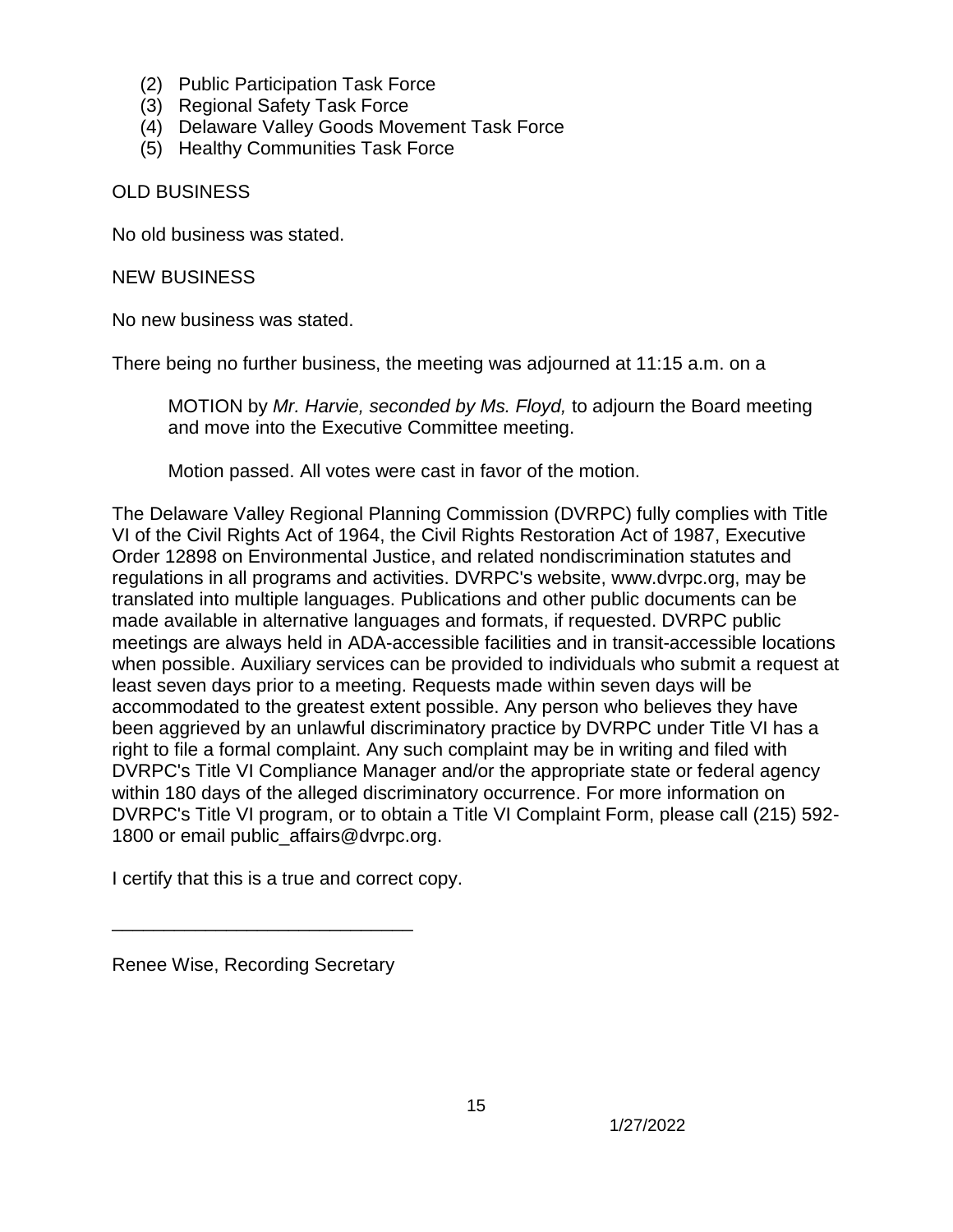- (2) Public Participation Task Force
- (3) Regional Safety Task Force
- (4) Delaware Valley Goods Movement Task Force
- (5) Healthy Communities Task Force

#### OLD BUSINESS

No old business was stated.

NEW BUSINESS

No new business was stated.

There being no further business, the meeting was adjourned at 11:15 a.m. on a

MOTION by *Mr. Harvie, seconded by Ms. Floyd,* to adjourn the Board meeting and move into the Executive Committee meeting.

Motion passed. All votes were cast in favor of the motion.

The Delaware Valley Regional Planning Commission (DVRPC) fully complies with Title VI of the Civil Rights Act of 1964, the Civil Rights Restoration Act of 1987, Executive Order 12898 on Environmental Justice, and related nondiscrimination statutes and regulations in all programs and activities. DVRPC's website, www.dvrpc.org, may be translated into multiple languages. Publications and other public documents can be made available in alternative languages and formats, if requested. DVRPC public meetings are always held in ADA-accessible facilities and in transit-accessible locations when possible. Auxiliary services can be provided to individuals who submit a request at least seven days prior to a meeting. Requests made within seven days will be accommodated to the greatest extent possible. Any person who believes they have been aggrieved by an unlawful discriminatory practice by DVRPC under Title VI has a right to file a formal complaint. Any such complaint may be in writing and filed with DVRPC's Title VI Compliance Manager and/or the appropriate state or federal agency within 180 days of the alleged discriminatory occurrence. For more information on DVRPC's Title VI program, or to obtain a [Title VI Complaint Form,](http://www.dvrpc.org/GetInvolved/TitleVI/pdf/Title_VI_Complaint_Form.pdf) please call (215) 592- 1800 or email public affairs@dvrpc.org.

I certify that this is a true and correct copy.

\_\_\_\_\_\_\_\_\_\_\_\_\_\_\_\_\_\_\_\_\_\_\_\_\_\_\_\_\_

Renee Wise, Recording Secretary